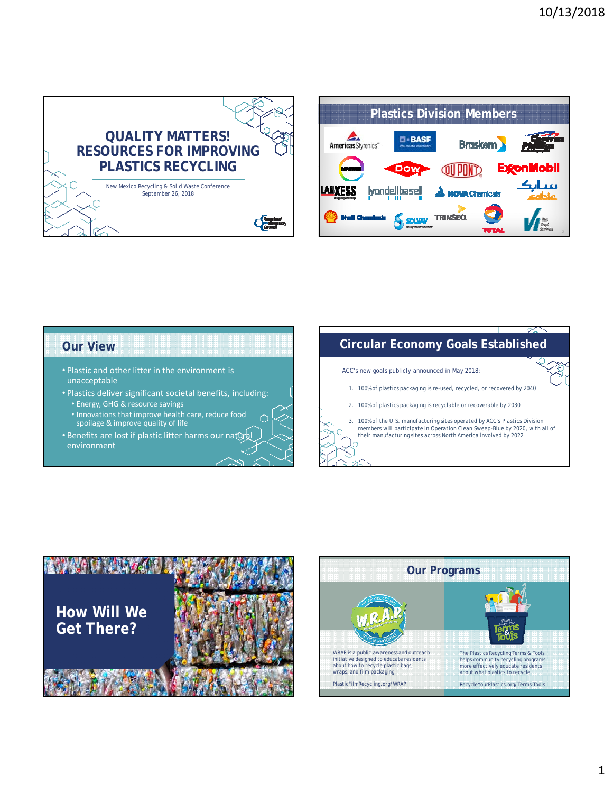

**Plastics Division Members** AmericasStyrenics"  $\Box$  - BASF **Braskem ExconMobil** سانگ LAIXESS **Ivondellbasel ONA Chemicals** Ыα SOLVEY TRINSED. **VE TOTA** 

### **Our View**

- Plastic and other litter in the environment is unacceptable
- Plastics deliver significant societal benefits, including:
	- Energy, GHG & resource savings
	- Innovations that improve health care, reduce food spoilage & improve quality of life
- Benefits are lost if plastic litter harms our natural environment

# **Circular Economy Goals Established**

ACC's new goals publicly announced in May 2018:

- 1. 100% of plastics packaging is re-used, recycled, or recovered by 2040
- 2. 100% of plastics packaging is recyclable or recoverable by 2030
- 3. 100% of the U.S. manufacturing sites operated by ACC's Plastics Division members will participate in Operation Clean Sweep-Blue by 2020, with all of their manufacturing sites across North America involved by 2022



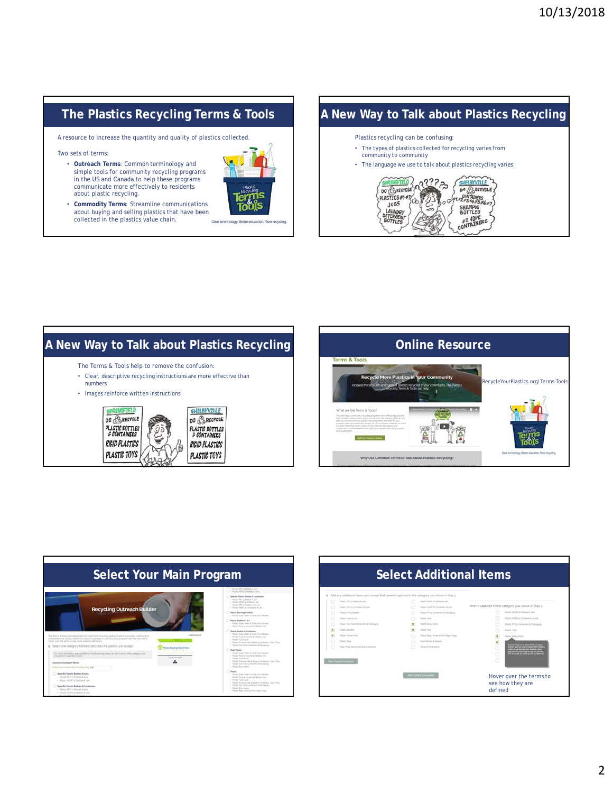## **The Plastics Recycling Terms & Tools**

A resource to increase the quantity and quality of plastics collected.

Two sets of terms:

• **Outreach Terms**: Common terminology and simple tools for community recycling programs in the US and Canada to help these programs communicate more effectively to residents about plastic recycling.



• **Commodity Terms**: Streamline communications about buying and selling plastics that have been collected in the plastics value chain.

## **A New Way to Talk about Plastics Recycling**



#### **A New Way to Talk about Plastics Recycling The Concession Conline Resource** The Terms & Tools help to remove the confusion: • Clear, descriptive recycling instructions are more effective than numbers • Images reinforce written instructions **SPRINGFIELD** SHELBYVILLE **DO BARECYCLE** DO A RECYCLE **PLASTIC BOTTLES**<br>& CONTAINERS **PLASTIC BOTTLES**

**RIGID PLASTICS** 

PLASTIC TOYS

RIGID PLASTICS

PLASTIC TOYS





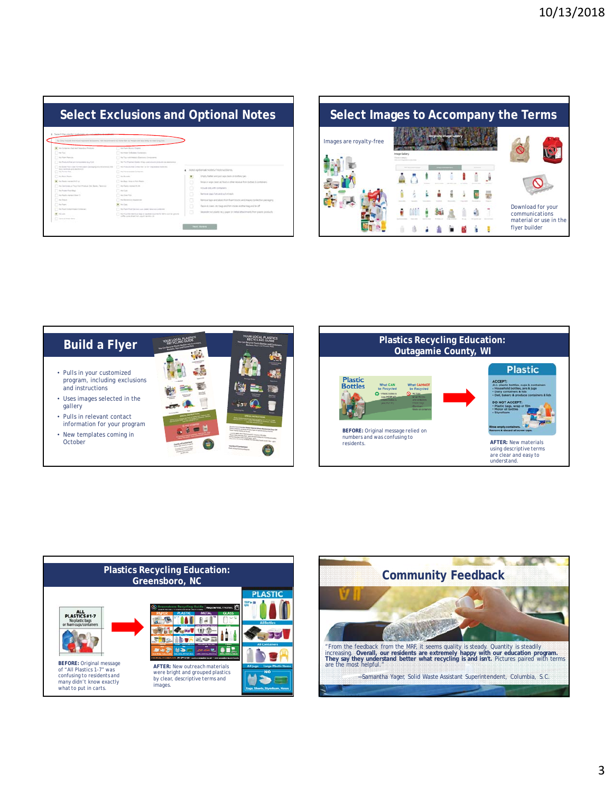| <b>Select Exclusions and Optional Notes</b>                                                                                                                                                                                                                                                                                                                                                                                                                                                                                                       |                                                                                                                                                                                                                                                                                                                                                                                                                                                                                                                                                                                                                                         |             |                                                                                                                                                                                                                                                                                                                                                                                                                                                                     |
|---------------------------------------------------------------------------------------------------------------------------------------------------------------------------------------------------------------------------------------------------------------------------------------------------------------------------------------------------------------------------------------------------------------------------------------------------------------------------------------------------------------------------------------------------|-----------------------------------------------------------------------------------------------------------------------------------------------------------------------------------------------------------------------------------------------------------------------------------------------------------------------------------------------------------------------------------------------------------------------------------------------------------------------------------------------------------------------------------------------------------------------------------------------------------------------------------------|-------------|---------------------------------------------------------------------------------------------------------------------------------------------------------------------------------------------------------------------------------------------------------------------------------------------------------------------------------------------------------------------------------------------------------------------------------------------------------------------|
| Select the platfic materials you would like to work<br>To: Ship includes the linear important anchousing PAG-recommendation inseed than at Density and South Art Hawlings both                                                                                                                                                                                                                                                                                                                                                                    |                                                                                                                                                                                                                                                                                                                                                                                                                                                                                                                                                                                                                                         |             |                                                                                                                                                                                                                                                                                                                                                                                                                                                                     |
| 1 Inc. Contactor's Park tend Teacontous Printingle<br>C) rection<br>T. The Proper Stage can<br>This Principal Fiel art Committee was PLA<br>the fitters from Lose formed planet community where are not that<br>book markinglet and also dominate<br>The Primary Stark<br>1 - Au-Boon Rawley<br>1 - No Pondo convenienti nel<br>The Germany Paul for Police for Senior Senior<br>TT Bachway Roombook<br>T. An Road Lington's New York<br>[7] meteore<br>. The Plages<br>The Root Treasure and Treasured<br>W. To Lot.<br>The form of Frank states | the Fourth Boyce Chronicle<br>the blood for femines findership.<br>the Texas scientistics in European Component<br>his Paul Francisco Domin, 1979a, como descriptivo da los don describerado<br>hart of on the forms for a the transmission is the ac-<br>The Newton and Services<br>To No Business<br>Inc. Beac, Innec & Fair Partiel<br>The Paris course Form<br>T me than<br>An Inner Your<br>Fig. 6 to the contract degree of the<br><b>Band Conner</b><br>In Fast Ford brink auto away in a suitable of the<br>The Progress classes up to go in successive for any country ground.<br>soften areas should built sound bachdoo all. | ×<br>o<br>٥ | Add colloral notes/instructions.<br>Errary, failer and put caps back-on indian-jars<br>Prints or wipe clean at four at other residue from bitties & containers.<br>Bellisalle tolls with scottaring to<br>Berman capacity and audio basis<br>Berma Major and Saleis from Ruan blocks and shapes tonier the packaging<br>Place at class, sty basic and for more widths tap and to off<br>Separate next plastic re-p paper or mebal attentioned; from pacito problems |









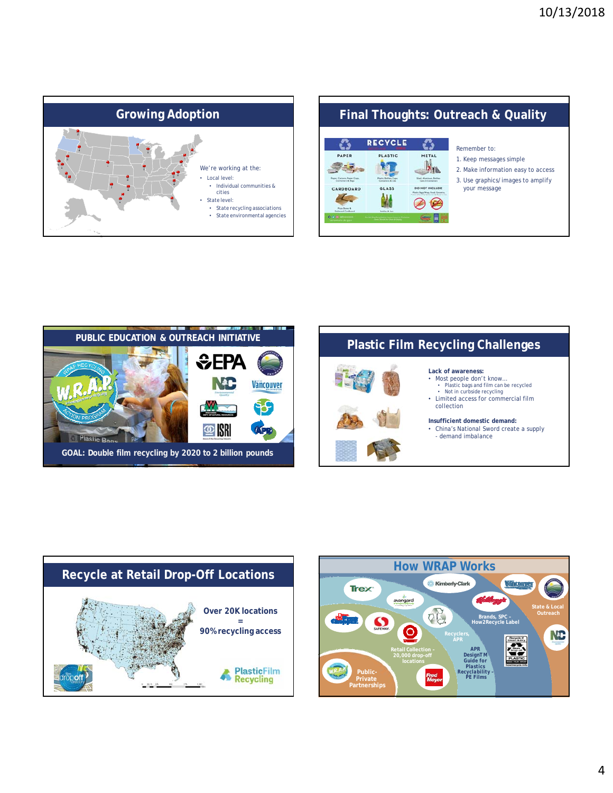









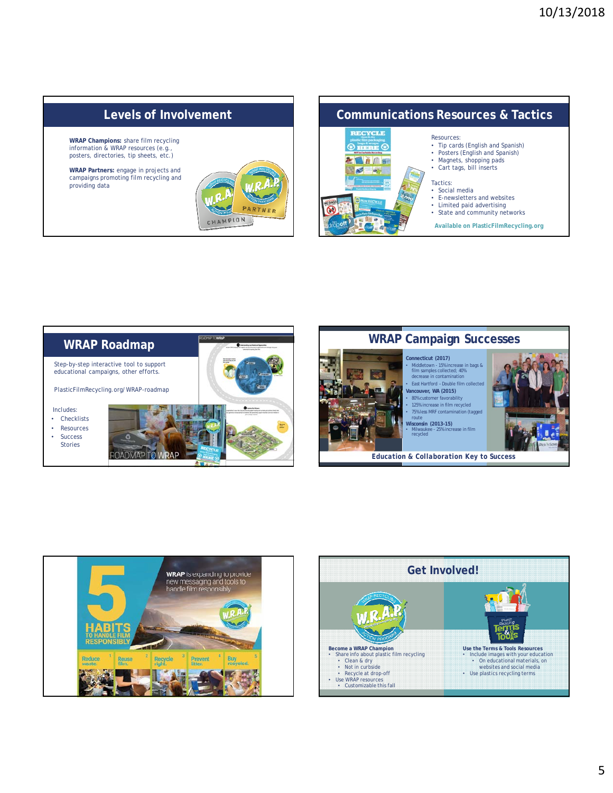#### **Levels of Involvement Communications Resources & Tactics RECYCLE** Resources: **WRAP Champions:** share film recycling • Tip cards (English and Spanish) information & WRAP resources (e.g.,  $\mathcal{Q}$ • Posters (English and Spanish)<br>• Magnets, shopping pads posters, directories, tip sheets, etc.) • Magnets, shopping pads • Cart tags, bill inserts **WRAP Partners:** engage in projects and campaigns promoting film recycling and Tactics: providing data • Social media E-newsletters and websites • Limited paid advertising • State and community networks CHAMPION **Available on PlasticFilmRecycling.org**